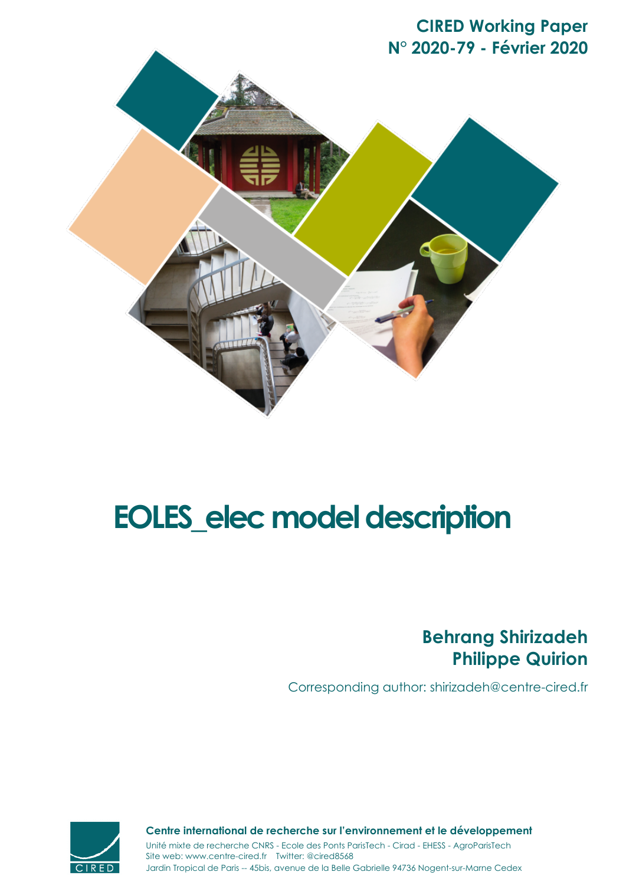



# **EOLES\_elec model description**

# **Behrang Shirizadeh Philippe Quirion**

Corresponding author: shirizadeh@centre-cired.fr



Site web: www.centre-cired.fr Twitter: @cired8568 **Centre international de recherche sur l'environnement et le développement** Unité mixte de recherche CNRS - Ecole des Ponts ParisTech - Cirad - EHESS - AgroParisTech

Jardin Tropical de Paris -- 45bis, avenue de la Belle Gabrielle 94736 Nogent-sur-Marne Cedex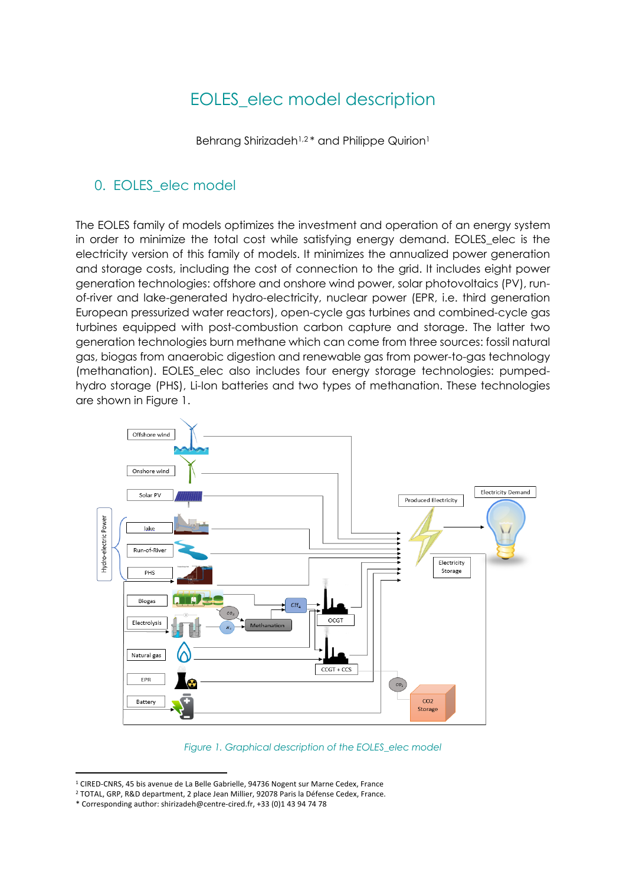# EOLES\_elec model description

Behrang Shirizadeh<sup>1,2\*</sup> and Philippe Quirion<sup>1</sup>

### 0. EOLES\_elec model

The EOLES family of models optimizes the investment and operation of an energy system in order to minimize the total cost while satisfying energy demand. EOLES\_elec is the electricity version of this family of models. It minimizes the annualized power generation and storage costs, including the cost of connection to the grid. It includes eight power generation technologies: offshore and onshore wind power, solar photovoltaics (PV), runof-river and lake-generated hydro-electricity, nuclear power (EPR, i.e. third generation European pressurized water reactors), open-cycle gas turbines and combined-cycle gas turbines equipped with post-combustion carbon capture and storage. The latter two generation technologies burn methane which can come from three sources: fossil natural gas, biogas from anaerobic digestion and renewable gas from power-to-gas technology (methanation). EOLES\_elec also includes four energy storage technologies: pumpedhydro storage (PHS), Li-Ion batteries and two types of methanation. These technologies are shown in Figure 1.



*Figure 1. Graphical description of the EOLES\_elec model*

<sup>&</sup>lt;sup>1</sup> CIRED-CNRS, 45 bis avenue de La Belle Gabrielle, 94736 Nogent sur Marne Cedex, France

<sup>2</sup> TOTAL, GRP, R&D department, 2 place Jean Millier, 92078 Paris la Défense Cedex, France.

<sup>\*</sup> Corresponding author: shirizadeh@centre-cired.fr, +33 (0)1 43 94 74 78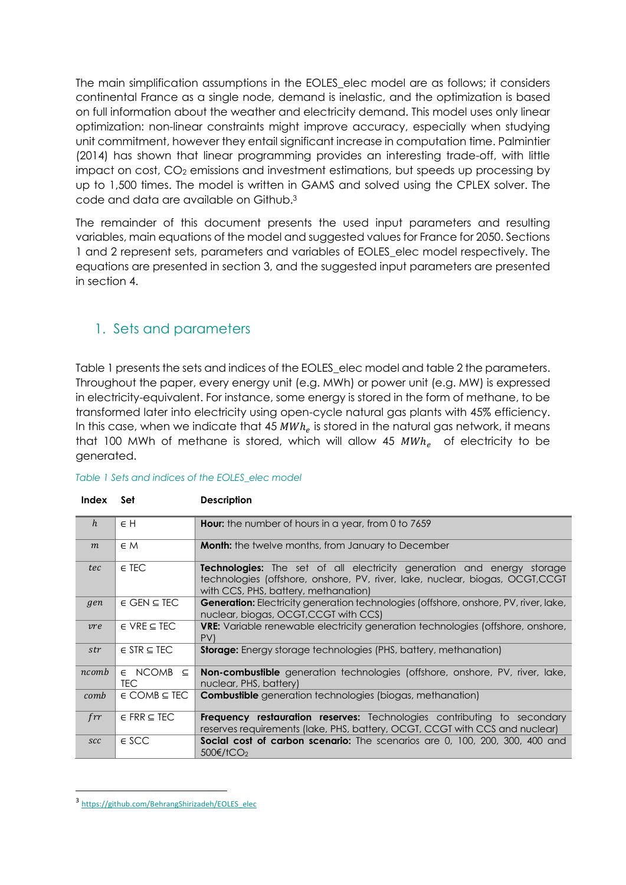The main simplification assumptions in the EOLES\_elec model are as follows; it considers continental France as a single node, demand is inelastic, and the optimization is based on full information about the weather and electricity demand. This model uses only linear optimization: non-linear constraints might improve accuracy, especially when studying unit commitment, however they entail significant increase in computation time. Palmintier (2014) has shown that linear programming provides an interesting trade-off, with little impact on cost,  $CO<sub>2</sub>$  emissions and investment estimations, but speeds up processing by up to 1,500 times. The model is written in GAMS and solved using the CPLEX solver. The code and data are available on Github.3

The remainder of this document presents the used input parameters and resulting variables, main equations of the model and suggested values for France for 2050. Sections 1 and 2 represent sets, parameters and variables of EOLES\_elec model respectively. The equations are presented in section 3, and the suggested input parameters are presented in section 4.

# 1. Sets and parameters

Table 1 presents the sets and indices of the EOLES\_elec model and table 2 the parameters. Throughout the paper, every energy unit (e.g. MWh) or power unit (e.g. MW) is expressed in electricity-equivalent. For instance, some energy is stored in the form of methane, to be transformed later into electricity using open-cycle natural gas plants with 45% efficiency. In this case, when we indicate that 45  $MWh_e$  is stored in the natural gas network, it means that 100 MWh of methane is stored, which will allow 45  $MWh_e$  of electricity to be generated.

| Index             | Set                             | <b>Description</b>                                                                                                                                                                                     |
|-------------------|---------------------------------|--------------------------------------------------------------------------------------------------------------------------------------------------------------------------------------------------------|
| h                 | $\in H$                         | Hour: the number of hours in a year, from 0 to 7659                                                                                                                                                    |
| m                 | $\in M$                         | <b>Month:</b> the twelve months, from January to December                                                                                                                                              |
| tec               | $\in$ TEC                       | <b>Technologies:</b> The set of all electricity generation and energy storage<br>technologies (offshore, onshore, PV, river, lake, nuclear, biogas, OCGT, CCGT<br>with CCS, PHS, battery, methanation) |
| gen               | $\in$ GEN $\subseteq$ TEC       | Generation: Electricity generation technologies (offshore, onshore, PV, river, lake,<br>nuclear, biogas, OCGT, CCGT with CCS)                                                                          |
| vre               | $\in$ VRE $\subseteq$ TEC       | <b>VRE:</b> Variable renewable electricity generation technologies (offshore, onshore,<br>PV                                                                                                           |
| str               | $\in$ STR $\subseteq$ TEC       | <b>Storage:</b> Energy storage technologies (PHS, battery, methanation)                                                                                                                                |
| ncomb             | $\in$ NCOMB $\subseteq$<br>TEC. | <b>Non-combustible</b> generation technologies (offshore, onshore, PV, river, lake,<br>nuclear, PHS, battery)                                                                                          |
| comb              | $\in$ COMB $\subseteq$ TEC      | <b>Combustible</b> generation technologies (biogas, methanation)                                                                                                                                       |
| $\int$ <i>frr</i> | $\in$ FRR $\subseteq$ TEC       | <b>Frequency restauration reserves:</b> Technologies contributing to secondary<br>reserves requirements (lake, PHS, battery, OCGT, CCGT with CCS and nuclear)                                          |
| <b>SCC</b>        | $\epsilon$ SCC                  | <b>Social cost of carbon scenario:</b> The scenarios are 0, 100, 200, 300, 400 and<br>500€/tCO <sub>2</sub>                                                                                            |

#### *Table 1 Sets and indices of the EOLES\_elec model*

<sup>3</sup> https://github.com/BehrangShirizadeh/EOLES\_elec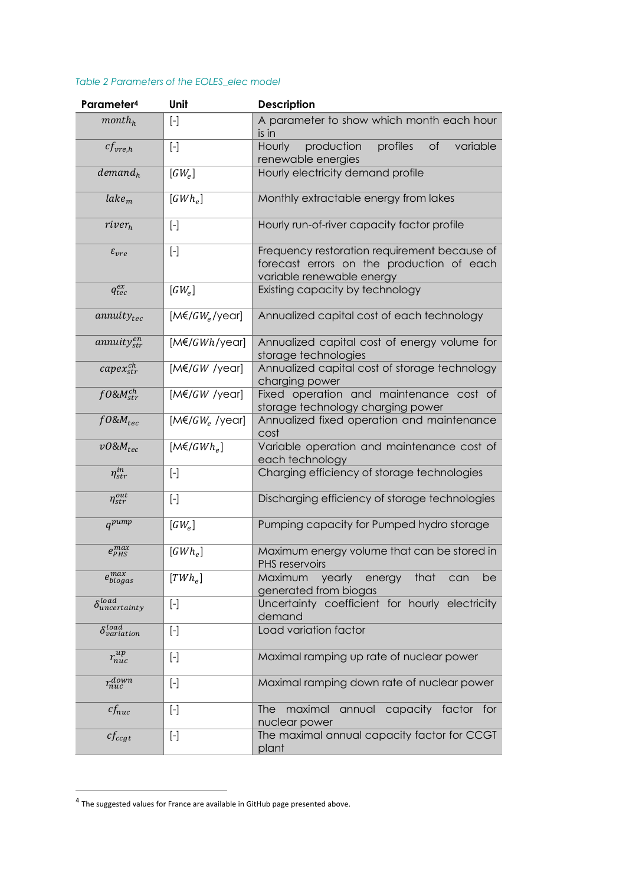#### *Table 2 Parameters of the EOLES\_elec model*

| Parameter <sup>4</sup>        | Unit                                                                                                                                                                                                                                                                                                                                                                                                                                          | <b>Description</b>                                                                                                     |  |  |  |
|-------------------------------|-----------------------------------------------------------------------------------------------------------------------------------------------------------------------------------------------------------------------------------------------------------------------------------------------------------------------------------------------------------------------------------------------------------------------------------------------|------------------------------------------------------------------------------------------------------------------------|--|--|--|
| month <sub>h</sub>            |                                                                                                                                                                                                                                                                                                                                                                                                                                               | A parameter to show which month each hour<br>is in                                                                     |  |  |  |
| $cf_{vre.h}$                  | $\left[ -\right] % \includegraphics[width=0.9\textwidth]{images/TrDiS-Architecture.png} \caption{The first two different values of $S$ in the image. The left two different values of $S$ is the same as in the image.} \label{TrDiS-Architecture}$                                                                                                                                                                                           | production<br>profiles<br>$\circ$ f<br>variable<br>Hourly<br>renewable energies                                        |  |  |  |
| demand <sub>h</sub>           | $[GW_e]$                                                                                                                                                                                                                                                                                                                                                                                                                                      | Hourly electricity demand profile                                                                                      |  |  |  |
| $\textit{label}_m$            | $[GWh_e]$                                                                                                                                                                                                                                                                                                                                                                                                                                     | Monthly extractable energy from lakes                                                                                  |  |  |  |
| river <sub>h</sub>            | $\left[ -\right] % \includegraphics[width=0.9\textwidth]{images/TrDiS/NR_WI_1.png} % \caption{The first two different values of $1$ and $1\leq i \leq n$ with $i=1,2, \ldots, n$ with $n=1,2, \ldots, n$ with $n=1,2, \ldots, n$ with $n=1,2, \ldots, n$ with $n=1,2, \ldots, n$ with $n=1,2, \ldots, n$ with $n=1,2, \ldots, n$ with $n=1,2, \ldots, n$ with $n=1,2, \ldots, n$ with $n=1,2, \ldots, n$ with $n=1,2, \ldots, n$ with $n=1,2$ | Hourly run-of-river capacity factor profile                                                                            |  |  |  |
| $\varepsilon_{vre}$           | $[\cdot]$                                                                                                                                                                                                                                                                                                                                                                                                                                     | Frequency restoration requirement because of<br>forecast errors on the production of each<br>variable renewable energy |  |  |  |
| $q_{tec}^{ex}$                | $[GW_e]$                                                                                                                                                                                                                                                                                                                                                                                                                                      | Existing capacity by technology                                                                                        |  |  |  |
| $annuity_{tec}$               | $[M \in G W_e$ /year]                                                                                                                                                                                                                                                                                                                                                                                                                         | Annualized capital cost of each technology                                                                             |  |  |  |
| $annuity_{str}^{en}$          | $[M \in GWh/year]$                                                                                                                                                                                                                                                                                                                                                                                                                            | Annualized capital cost of energy volume for<br>storage technologies                                                   |  |  |  |
| $capex_{str}^{ch}$            | $[M \in GW$ /year]                                                                                                                                                                                                                                                                                                                                                                                                                            | Annualized capital cost of storage technology<br>charging power                                                        |  |  |  |
| $f0$ &M $_{str}^{ch}$         | $[M \in GW$ /year]                                                                                                                                                                                                                                                                                                                                                                                                                            | Fixed operation and maintenance cost of<br>storage technology charging power                                           |  |  |  |
| $f0\&M_{tec}$                 | $[M \in G W_e$ /year]                                                                                                                                                                                                                                                                                                                                                                                                                         | Annualized fixed operation and maintenance<br>cost                                                                     |  |  |  |
| $v0\&M_{tec}$                 | $[M \in / GWh_e]$                                                                                                                                                                                                                                                                                                                                                                                                                             | Variable operation and maintenance cost of<br>each technology                                                          |  |  |  |
| $\eta_{str}^{in}$             | $\left[ -\right] % \includegraphics[width=0.9\textwidth]{images/TrDiS-Architecture.png} \caption{The first two different values of $S$ in the image. The left two different values of $S$ is the same as in the image.} \label{TrDiS-Architecture}$                                                                                                                                                                                           | Charging efficiency of storage technologies                                                                            |  |  |  |
| $\eta_{str}^{out}$            | $[\cdot]$                                                                                                                                                                                                                                                                                                                                                                                                                                     | Discharging efficiency of storage technologies                                                                         |  |  |  |
| $q^{pump}$                    | $[GW_e]$                                                                                                                                                                                                                                                                                                                                                                                                                                      | Pumping capacity for Pumped hydro storage                                                                              |  |  |  |
| $e_{PHS}^{max}$               | $[GWh_e]$                                                                                                                                                                                                                                                                                                                                                                                                                                     | Maximum energy volume that can be stored in<br>PHS reservoirs                                                          |  |  |  |
| $\overline{e^{max}_{biogas}}$ | $[TWh_e]$                                                                                                                                                                                                                                                                                                                                                                                                                                     | Maximum<br>yearly<br>that<br>energy<br>be<br>can<br>generated from biogas                                              |  |  |  |
| $\delta_{uncertainty}^{load}$ |                                                                                                                                                                                                                                                                                                                                                                                                                                               | Uncertainty coefficient for hourly electricity<br>demand                                                               |  |  |  |
| $\delta_{variation}^{load}$   | $[\cdot]$                                                                                                                                                                                                                                                                                                                                                                                                                                     | Load variation factor                                                                                                  |  |  |  |
| $r_{nuc}^{up}$                | $[\cdot]$                                                                                                                                                                                                                                                                                                                                                                                                                                     | Maximal ramping up rate of nuclear power                                                                               |  |  |  |
| $r_{nuc}^{down}$              | $[\cdot]$                                                                                                                                                                                                                                                                                                                                                                                                                                     | Maximal ramping down rate of nuclear power                                                                             |  |  |  |
| $cf_{nuc}$                    | $[\cdot]$                                                                                                                                                                                                                                                                                                                                                                                                                                     | maximal<br>annual<br>capacity factor for<br><b>The</b><br>nuclear power                                                |  |  |  |
| $cf_{ccgt}$                   | $\left[ -\right] % \includegraphics[width=0.9\textwidth]{images/TrDiS/NR_WI_1.png} % \caption{The first two different values of $1$ and $1\leq i \leq n$ with $i=1,2, \cdots$ with $n=1,2$ and $n=1,2$ with $n=1,2$ and $n=1,2$ with $n=1,2$ and $n=1,2$ with $n=1,2$ and $n=1,2$ with $n=1,2$ and $n=1,2$ with $n=1,2$ and $n=1,2$ with $n=1,2$ and $n=1,2$ with $n=1,2$ and $n=1,2$ with $n=1,2$ and $n=1,2$ with $n=1$                     | The maximal annual capacity factor for CCGT<br>plant                                                                   |  |  |  |

 $^4$  The suggested values for France are available in GitHub page presented above.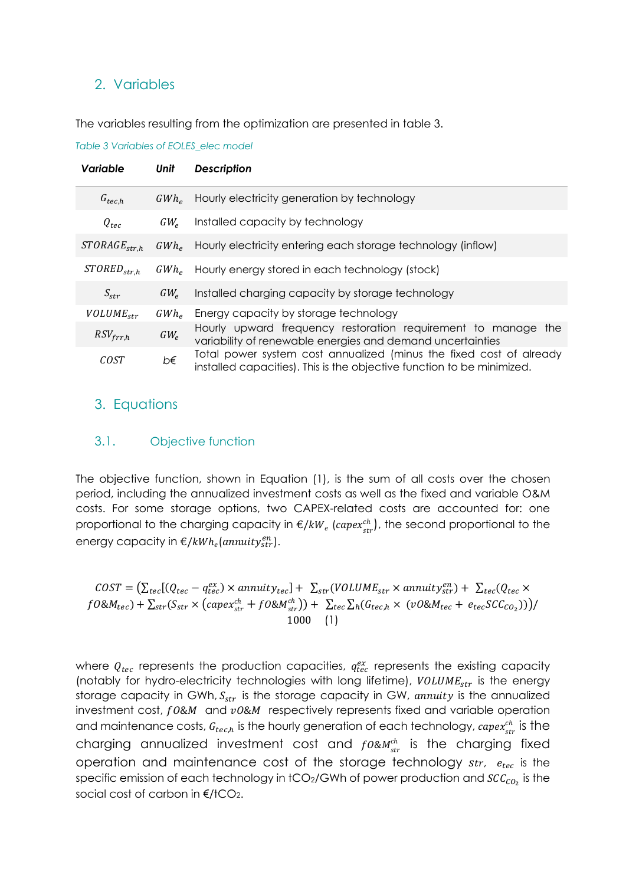#### 2. Variables

The variables resulting from the optimization are presented in table 3.

*Table 3 Variables of EOLES\_elec model*

| Variable          | Unit           | <b>Description</b>                                                                                                                            |
|-------------------|----------------|-----------------------------------------------------------------------------------------------------------------------------------------------|
| $G_{tec,h}$       |                | GWh <sub>e</sub> Hourly electricity generation by technology                                                                                  |
| $Q_{tec}$         | $GW_{\rho}$    | Installed capacity by technology                                                                                                              |
| $STORAGE_{str.h}$ | $GWh_{\sigma}$ | Hourly electricity entering each storage technology (inflow)                                                                                  |
| $STORED_{str,h}$  |                | GWh <sub>e</sub> Hourly energy stored in each technology (stock)                                                                              |
| $S_{str}$         | $GW_{\rho}$    | Installed charging capacity by storage technology                                                                                             |
| $VOLUME_{str}$    | $GWh_{\rho}$   | Energy capacity by storage technology                                                                                                         |
| $RSV_{frr,h}$     | $GW_e$         | Hourly upward frequency restoration requirement to manage the<br>variability of renewable energies and demand uncertainties                   |
| COST              | b€             | Total power system cost annualized (minus the fixed cost of already<br>installed capacities). This is the objective function to be minimized. |

## 3. Equations

#### 3.1. Objective function

The objective function, shown in Equation (1), is the sum of all costs over the chosen period, including the annualized investment costs as well as the fixed and variable O&M costs. For some storage options, two CAPEX-related costs are accounted for: one proportional to the charging capacity in  $\epsilon/kW_e$  (capex $_{str}^{ch}$ ), the second proportional to the energy capacity in  $\epsilon/kWh_e(annuity_{str}^{en}).$ 

$$
COST = \left(\sum_{tec} [(Q_{tec} - q_{tec}^{ex}) \times annuity_{tec}] + \sum_{str} (VOLUME_{str} \times annuity_{str}^{en}) + \sum_{tec} (Q_{tec} \times f0 \& M_{tec}) + \sum_{str} (S_{str} \times (capex_{str}^{ch} + f0 \& M_{str}^{ch})) + \sum_{tec} \sum_{h} (G_{tec,h} \times (v0 \& M_{tec} + e_{tec} SCC_{CO_2})) \right) / \newline 1000 \quad (1)
$$

where  $Q_{tec}$  represents the production capacities,  $q_{tec}^{ex}$  represents the existing capacity (notably for hydro-electricity technologies with long lifetime),  $VOLUME_{str}$  is the energy storage capacity in GWh,  $S_{str}$  is the storage capacity in GW, annuity is the annualized investment cost,  $f0&M$  and  $v0&M$  respectively represents fixed and variable operation and maintenance costs,  $G_{tec,h}$  is the hourly generation of each technology,  $\textit{capex}_{str}^{ch}$  is the charging annualized investment cost and  $f$ 0& $M_{str}^{ch}$  is the charging fixed operation and maintenance cost of the storage technology  $str.$   $e_{tec}$  is the specific emission of each technology in tCO<sub>2</sub>/GWh of power production and  $SCC_{CO_2}$  is the social cost of carbon in  $\epsilon$ /tCO<sub>2</sub>.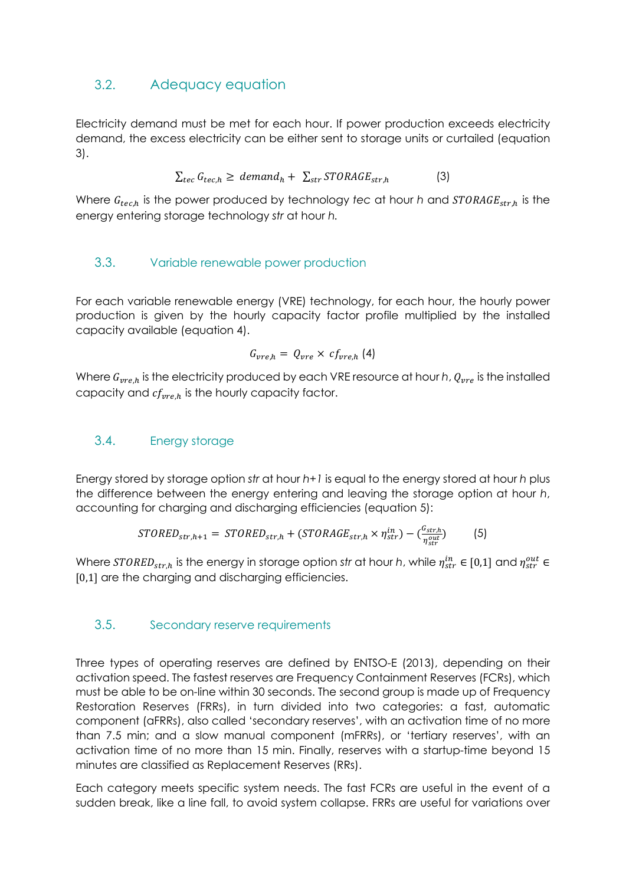# 3.2. Adequacy equation

Electricity demand must be met for each hour. If power production exceeds electricity demand, the excess electricity can be either sent to storage units or curtailed (equation 3).

$$
\sum_{tec} G_{tec,h} \geq demand_h + \sum_{str} STORAGE_{str,h}
$$
 (3)

Where  $G_{tec,h}$  is the power produced by technology *tec* at hour *h* and  $STORAGE_{str,h}$  is the energy entering storage technology *str* at hour *h.* 

#### 3.3. Variable renewable power production

For each variable renewable energy (VRE) technology, for each hour, the hourly power production is given by the hourly capacity factor profile multiplied by the installed capacity available (equation 4).

$$
G_{vre,h} = Q_{vre} \times cf_{vre,h} (4)
$$

Where  $G_{vre,h}$  is the electricity produced by each VRE resource at hour *h*,  $Q_{vre}$  is the installed capacity and  $cf_{\text{vre.h}}$  is the hourly capacity factor.

#### 3.4. Energy storage

Energy stored by storage option *str* at hour *h+1* is equal to the energy stored at hour *h* plus the difference between the energy entering and leaving the storage option at hour *h*, accounting for charging and discharging efficiencies (equation 5):

$$
STORED_{str,h+1} = STORED_{str,h} + (STORAGE_{str,h} \times \eta_{str}^{in}) - \left(\frac{G_{str,h}}{\eta_{str}^{out}}\right) \tag{5}
$$

Where  $STORED_{str,h}$  is the energy in storage option str at hour *h*, while  $\eta_{str}^{in} \in [0,1]$  and  $\eta_{str}^{out} \in$ [0,1] are the charging and discharging efficiencies.

#### 3.5. Secondary reserve requirements

Three types of operating reserves are defined by ENTSO-E (2013), depending on their activation speed. The fastest reserves are Frequency Containment Reserves (FCRs), which must be able to be on-line within 30 seconds. The second group is made up of Frequency Restoration Reserves (FRRs), in turn divided into two categories: a fast, automatic component (aFRRs), also called 'secondary reserves', with an activation time of no more than 7.5 min; and a slow manual component (mFRRs), or 'tertiary reserves', with an activation time of no more than 15 min. Finally, reserves with a startup-time beyond 15 minutes are classified as Replacement Reserves (RRs).

Each category meets specific system needs. The fast FCRs are useful in the event of a sudden break, like a line fall, to avoid system collapse. FRRs are useful for variations over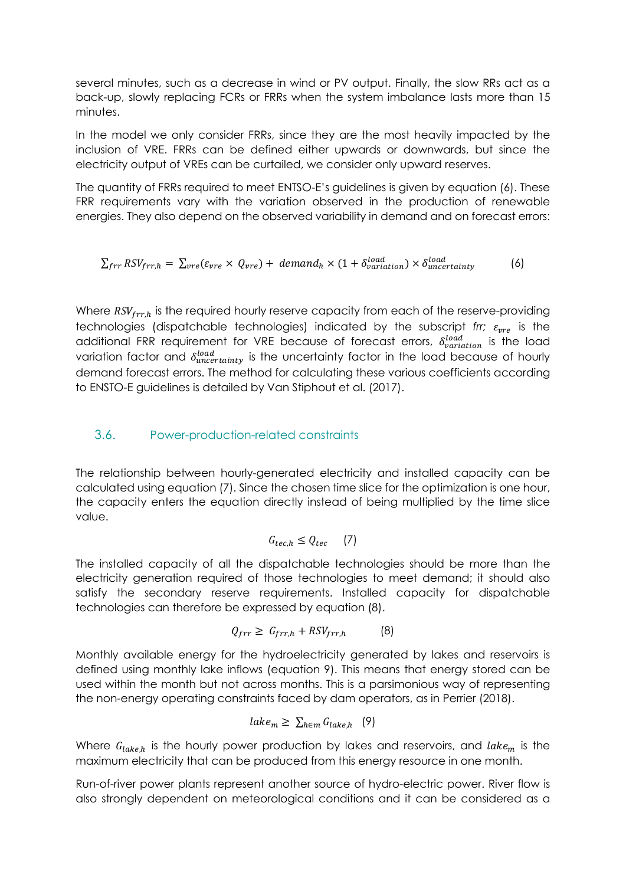several minutes, such as a decrease in wind or PV output. Finally, the slow RRs act as a back-up, slowly replacing FCRs or FRRs when the system imbalance lasts more than 15 minutes.

In the model we only consider FRRs, since they are the most heavily impacted by the inclusion of VRE. FRRs can be defined either upwards or downwards, but since the electricity output of VREs can be curtailed, we consider only upward reserves.

The quantity of FRRs required to meet ENTSO-E's guidelines is given by equation (6). These FRR requirements vary with the variation observed in the production of renewable energies. They also depend on the observed variability in demand and on forecast errors:

$$
\sum_{frr} RSV_{frr,h} = \sum_{vre} (\varepsilon_{vre} \times Q_{vre}) + demand_h \times (1 + \delta_{variation}^{load}) \times \delta_{uncertainty}^{load}
$$
 (6)

Where  $RSV_{frr,h}$  is the required hourly reserve capacity from each of the reserve-providing technologies (dispatchable technologies) indicated by the subscript *frr;*  $\varepsilon_{\text{pre}}$  is the additional FRR requirement for VRE because of forecast errors,  $\delta_{variation}^{load}$  is the load variation factor and  $\delta_{uncertainty}^{load}$  is the uncertainty factor in the load because of hourly demand forecast errors. The method for calculating these various coefficients according to ENSTO-E guidelines is detailed by Van Stiphout et al. (2017).

#### 3.6. Power-production-related constraints

The relationship between hourly-generated electricity and installed capacity can be calculated using equation (7). Since the chosen time slice for the optimization is one hour, the capacity enters the equation directly instead of being multiplied by the time slice value.

$$
G_{tec,h} \le Q_{tec} \qquad (7)
$$

The installed capacity of all the dispatchable technologies should be more than the electricity generation required of those technologies to meet demand; it should also satisfy the secondary reserve requirements. Installed capacity for dispatchable technologies can therefore be expressed by equation (8).

$$
Q_{frr} \geq G_{frr,h} + RSV_{frr,h} \tag{8}
$$

Monthly available energy for the hydroelectricity generated by lakes and reservoirs is defined using monthly lake inflows (equation 9). This means that energy stored can be used within the month but not across months. This is a parsimonious way of representing the non-energy operating constraints faced by dam operators, as in Perrier (2018).

$$
lake_m \geq \sum_{h \in m} G_{lake,h} \quad (9)
$$

Where  $G_{\text{take},h}$  is the hourly power production by lakes and reservoirs, and lake<sub>m</sub> is the maximum electricity that can be produced from this energy resource in one month.

Run-of-river power plants represent another source of hydro-electric power. River flow is also strongly dependent on meteorological conditions and it can be considered as a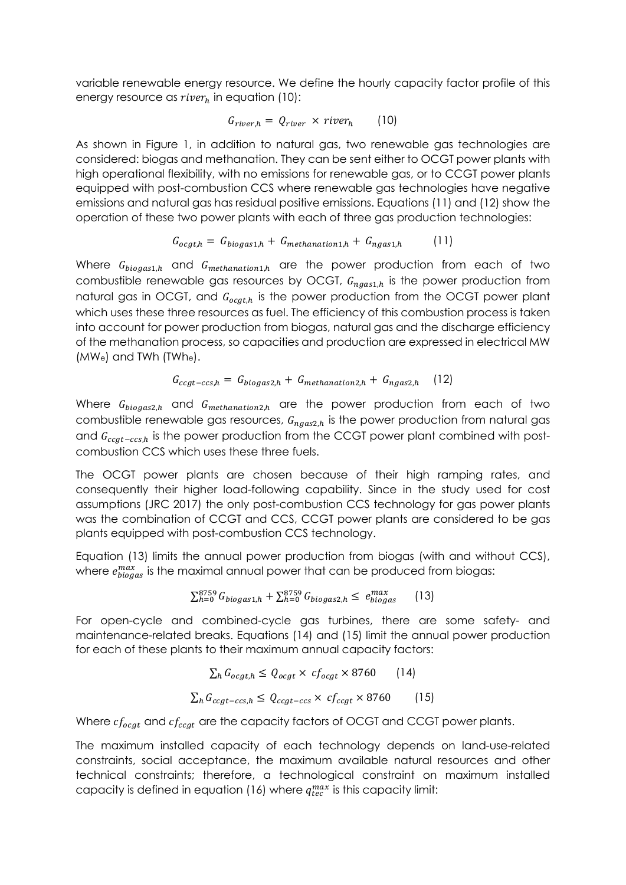variable renewable energy resource. We define the hourly capacity factor profile of this energy resource as  $river<sub>h</sub>$  in equation (10):

$$
G_{river,h} = Q_{river} \times river_h \qquad (10)
$$

As shown in Figure 1, in addition to natural gas, two renewable gas technologies are considered: biogas and methanation. They can be sent either to OCGT power plants with high operational flexibility, with no emissions for renewable gas, or to CCGT power plants equipped with post-combustion CCS where renewable gas technologies have negative emissions and natural gas has residual positive emissions. Equations (11) and (12) show the operation of these two power plants with each of three gas production technologies:

$$
G_{ocgt,h} = G_{biogas1,h} + G_{methanation1,h} + G_{ngas1,h}
$$
 (11)

Where  $G_{biogas1,h}$  and  $G_{methanation1,h}$  are the power production from each of two combustible renewable gas resources by OCGT,  $G_{n,as1,h}$  is the power production from natural gas in OCGT, and  $G_{ocgt,h}$  is the power production from the OCGT power plant which uses these three resources as fuel. The efficiency of this combustion process is taken into account for power production from biogas, natural gas and the discharge efficiency of the methanation process, so capacities and production are expressed in electrical MW  $(MW_e)$  and TWh (TWhe).

$$
G_{ccgt-ccs,h} = G_{biogas2,h} + G_{methanation2,h} + G_{ngas2,h} \quad (12)
$$

Where  $G_{bigas2,h}$  and  $G_{methanation2,h}$  are the power production from each of two combustible renewable gas resources,  $G_{ngas2,h}$  is the power production from natural gas and  $G_{ccat-ccs,h}$  is the power production from the CCGT power plant combined with postcombustion CCS which uses these three fuels.

The OCGT power plants are chosen because of their high ramping rates, and consequently their higher load-following capability. Since in the study used for cost assumptions (JRC 2017) the only post-combustion CCS technology for gas power plants was the combination of CCGT and CCS, CCGT power plants are considered to be gas plants equipped with post-combustion CCS technology.

Equation (13) limits the annual power production from biogas (with and without CCS), where  $e^{max}_{bigas}$  is the maximal annual power that can be produced from biogas:

$$
\sum_{h=0}^{8759} G_{biogas1,h} + \sum_{h=0}^{8759} G_{biogas2,h} \le e_{biogas}^{max} \qquad (13)
$$

For open-cycle and combined-cycle gas turbines, there are some safety- and maintenance-related breaks. Equations (14) and (15) limit the annual power production for each of these plants to their maximum annual capacity factors:

$$
\sum_{h} G_{ocgt,h} \le Q_{ocgt} \times cf_{ocgt} \times 8760 \qquad (14)
$$
  

$$
\sum_{h} G_{ccgt-ccs,h} \le Q_{ccgt-ccs} \times cf_{ccgt} \times 8760 \qquad (15)
$$

Where  $cf_{ocgt}$  and  $cf_{ccgt}$  are the capacity factors of OCGT and CCGT power plants.

The maximum installed capacity of each technology depends on land-use-related constraints, social acceptance, the maximum available natural resources and other technical constraints; therefore, a technological constraint on maximum installed capacity is defined in equation (16) where  $q_{tec}^{max}$  is this capacity limit: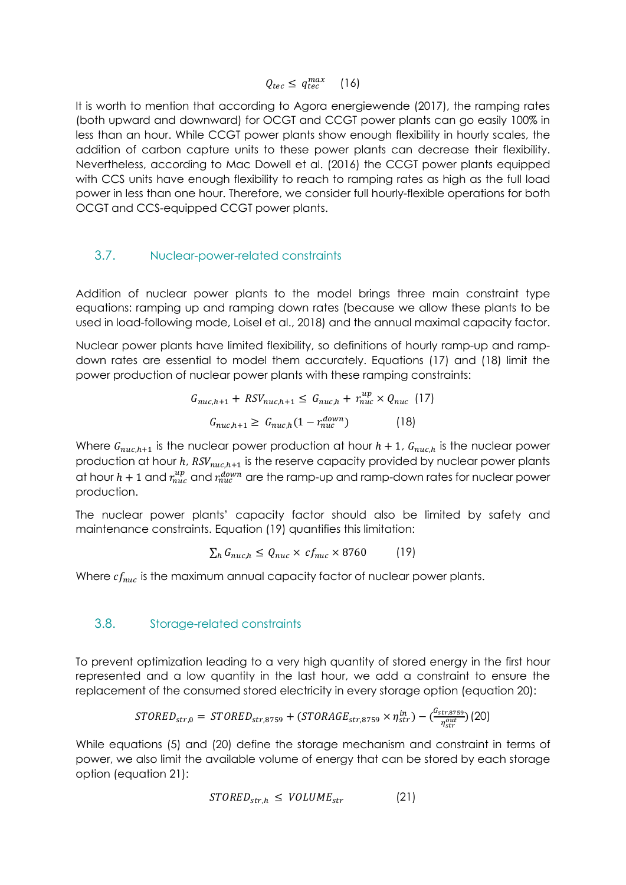$$
Q_{tec} \leq q_{tec}^{max} \quad (16)
$$

It is worth to mention that according to Agora energiewende (2017), the ramping rates (both upward and downward) for OCGT and CCGT power plants can go easily 100% in less than an hour. While CCGT power plants show enough flexibility in hourly scales, the addition of carbon capture units to these power plants can decrease their flexibility. Nevertheless, according to Mac Dowell et al. (2016) the CCGT power plants equipped with CCS units have enough flexibility to reach to ramping rates as high as the full load power in less than one hour. Therefore, we consider full hourly-flexible operations for both OCGT and CCS-equipped CCGT power plants.

#### 3.7. Nuclear-power-related constraints

Addition of nuclear power plants to the model brings three main constraint type equations: ramping up and ramping down rates (because we allow these plants to be used in load-following mode, Loisel et al., 2018) and the annual maximal capacity factor.

Nuclear power plants have limited flexibility, so definitions of hourly ramp-up and rampdown rates are essential to model them accurately. Equations (17) and (18) limit the power production of nuclear power plants with these ramping constraints:

$$
G_{nuc,h+1} + RSV_{nuc,h+1} \leq G_{nuc,h} + r_{nuc}^{up} \times Q_{nuc} \quad (17)
$$

$$
G_{nuc,h+1} \geq G_{nuc,h} (1 - r_{nuc}^{down}) \qquad (18)
$$

Where  $G_{nuc,h+1}$  is the nuclear power production at hour  $h + 1$ ,  $G_{nuc,h}$  is the nuclear power production at hour  $h$ ,  $RSV_{nuc,h+1}$  is the reserve capacity provided by nuclear power plants at hour  $h+1$  and  $r_{nuc}^{up}$  and  $r_{nuc}^{down}$  are the ramp-up and ramp-down rates for nuclear power production.

The nuclear power plants' capacity factor should also be limited by safety and maintenance constraints. Equation (19) quantifies this limitation:

$$
\sum_{h} G_{nuc,h} \le Q_{nuc} \times c f_{nuc} \times 8760 \tag{19}
$$

Where  $cf_{nuc}$  is the maximum annual capacity factor of nuclear power plants.

#### 3.8. Storage-related constraints

To prevent optimization leading to a very high quantity of stored energy in the first hour represented and a low quantity in the last hour, we add a constraint to ensure the replacement of the consumed stored electricity in every storage option (equation 20):

$$
STORED_{str,0} = STORED_{str,8759} + (STORAGE_{str,8759} \times \eta_{str}^{in}) - (\frac{G_{str,8759}}{\eta_{str}^{out}}) (20)
$$

While equations (5) and (20) define the storage mechanism and constraint in terms of power, we also limit the available volume of energy that can be stored by each storage option (equation 21):

$$
STORED_{str,h} \leq VOLUME_{str} \tag{21}
$$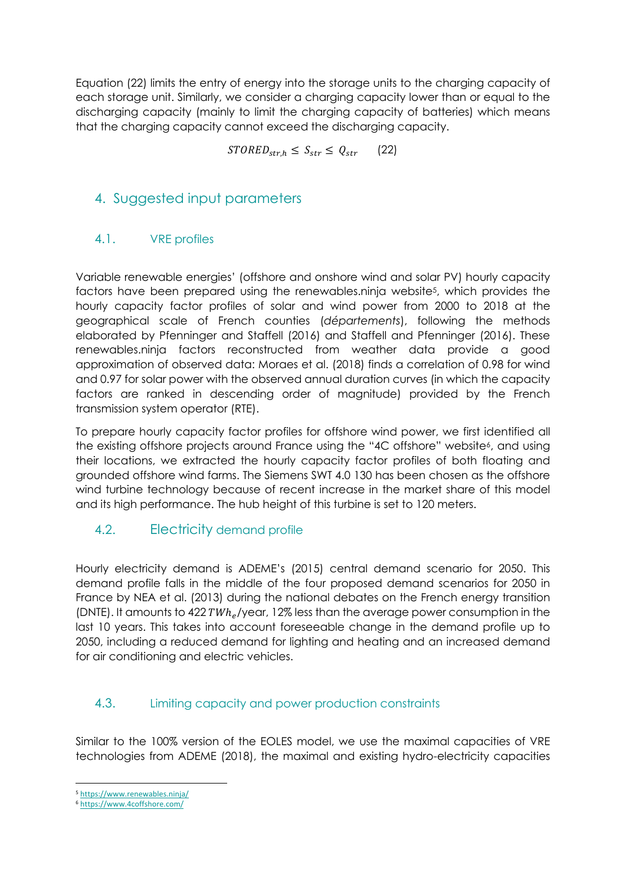Equation (22) limits the entry of energy into the storage units to the charging capacity of each storage unit. Similarly, we consider a charging capacity lower than or equal to the discharging capacity (mainly to limit the charging capacity of batteries) which means that the charging capacity cannot exceed the discharging capacity.

 $STORED<sub>str,h</sub> \leq S<sub>str</sub> \leq Q<sub>str</sub>$  (22)

# 4. Suggested input parameters

#### 4.1. VRE profiles

Variable renewable energies' (offshore and onshore wind and solar PV) hourly capacity factors have been prepared using the renewables.ninja website<sup>5</sup>, which provides the hourly capacity factor profiles of solar and wind power from 2000 to 2018 at the geographical scale of French counties (*départements*), following the methods elaborated by Pfenninger and Staffell (2016) and Staffell and Pfenninger (2016). These renewables.ninja factors reconstructed from weather data provide a good approximation of observed data: Moraes et al. (2018) finds a correlation of 0.98 for wind and 0.97 for solar power with the observed annual duration curves (in which the capacity factors are ranked in descending order of magnitude) provided by the French transmission system operator (RTE).

To prepare hourly capacity factor profiles for offshore wind power, we first identified all the existing offshore projects around France using the "4C offshore" website<sup>6</sup>, and using their locations, we extracted the hourly capacity factor profiles of both floating and grounded offshore wind farms. The Siemens SWT 4.0 130 has been chosen as the offshore wind turbine technology because of recent increase in the market share of this model and its high performance. The hub height of this turbine is set to 120 meters.

## 4.2. Electricity demand profile

Hourly electricity demand is ADEME's (2015) central demand scenario for 2050. This demand profile falls in the middle of the four proposed demand scenarios for 2050 in France by NEA et al. (2013) during the national debates on the French energy transition (DNTE). It amounts to 422 TWh<sub>e</sub>/year, 12% less than the average power consumption in the last 10 years. This takes into account foreseeable change in the demand profile up to 2050, including a reduced demand for lighting and heating and an increased demand for air conditioning and electric vehicles.

#### 4.3. Limiting capacity and power production constraints

Similar to the 100% version of the EOLES model, we use the maximal capacities of VRE technologies from ADEME (2018), the maximal and existing hydro-electricity capacities

<sup>5</sup> https://www.renewables.ninja/

<sup>6</sup> https://www.4coffshore.com/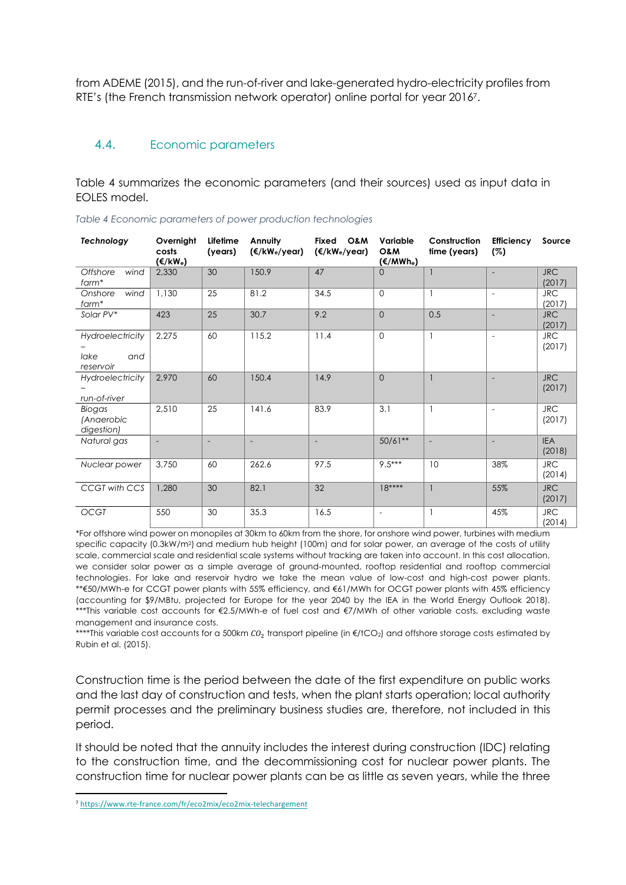from ADEME (2015), and the run-of-river and lake-generated hydro-electricity profiles from RTE's (the French transmission network operator) online portal for year 20167.

#### 4.4. Economic parameters

Table 4 summarizes the economic parameters (and their sources) used as input data in EOLES model.

| Technology                                   | Overnight<br>costs<br>$(\epsilon/kW_e)$ | Lifetime<br>(years)      | Annuity<br>(€/kW <sub>e</sub> /year) | Fixed<br>O&M<br>(€/kW <sub>e</sub> /year) | Variable<br>O&M<br>(€/MWh <sub>e</sub> ) | Construction<br>time (years) | <b>Efficiency</b><br>(%) | Source               |
|----------------------------------------------|-----------------------------------------|--------------------------|--------------------------------------|-------------------------------------------|------------------------------------------|------------------------------|--------------------------|----------------------|
| Offshore<br>wind<br>farm*                    | 2.330                                   | 30                       | 150.9                                | 47                                        | $\Omega$                                 |                              | $\overline{\phantom{a}}$ | <b>JRC</b><br>(2017) |
| wind<br>Onshore<br>$form*$                   | 1,130                                   | 25                       | 81.2                                 | 34.5                                      | $\mathbf{0}$                             |                              | $\overline{\phantom{a}}$ | <b>JRC</b><br>(2017) |
| Solar PV*                                    | 423                                     | 25                       | 30.7                                 | 9.2                                       | $\Omega$                                 | 0.5                          | $\overline{a}$           | <b>JRC</b><br>(2017) |
| Hydroelectricity<br>lake<br>and<br>reservoir | 2,275                                   | 60                       | 115.2                                | 11.4                                      | $\Omega$                                 |                              | $\overline{\phantom{a}}$ | <b>JRC</b><br>(2017) |
| Hydroelectricity<br>run-of-river             | 2,970                                   | 60                       | 150.4                                | 14.9                                      | $\Omega$                                 |                              |                          | <b>JRC</b><br>(2017) |
| Biogas<br>(Anaerobic<br>digestion)           | 2,510                                   | 25                       | 141.6                                | 83.9                                      | 3.1                                      |                              | $\overline{\phantom{a}}$ | <b>JRC</b><br>(2017) |
| Natural gas                                  | $\overline{\phantom{a}}$                | $\overline{\phantom{0}}$ | $\overline{a}$                       | $\frac{1}{2}$                             | $50/61**$                                |                              | $\overline{\phantom{a}}$ | <b>IEA</b><br>(2018) |
| Nuclear power                                | 3,750                                   | 60                       | 262.6                                | 97.5                                      | $9.5***$                                 | 10                           | 38%                      | <b>JRC</b><br>(2014) |
| CCGT with CCS                                | 1.280                                   | 30                       | 82.1                                 | 32                                        | $18***$                                  |                              | 55%                      | <b>JRC</b><br>(2017) |
| <b>OCGT</b>                                  | 550                                     | 30                       | 35.3                                 | 16.5                                      | $\overline{a}$                           |                              | 45%                      | <b>JRC</b><br>(2014) |

*Table 4 Economic parameters of power production technologies*

\*For offshore wind power on monopiles at 30km to 60km from the shore, for onshore wind power, turbines with medium specific capacity (0.3kW/m2) and medium hub height (100m) and for solar power, an average of the costs of utility scale, commercial scale and residential scale systems without tracking are taken into account. In this cost allocation, we consider solar power as a simple average of ground-mounted, rooftop residential and rooftop commercial technologies. For lake and reservoir hydro we take the mean value of low-cost and high-cost power plants. \*\*€50/MWh-e for CCGT power plants with 55% efficiency, and €61/MWh for OCGT power plants with 45% efficiency (accounting for \$9/MBtu, projected for Europe for the year 2040 by the IEA in the World Energy Outlook 2018). \*\*\*This variable cost accounts for €2.5/MWh-e of fuel cost and €7/MWh of other variable costs, excluding waste management and insurance costs.

\*\*\*\*This variable cost accounts for a 500km  $CO_2$  transport pipeline (in  $E/$ tCO<sub>2</sub>) and offshore storage costs estimated by Rubin et al. (2015).

Construction time is the period between the date of the first expenditure on public works and the last day of construction and tests, when the plant starts operation; local authority permit processes and the preliminary business studies are, therefore, not included in this period.

It should be noted that the annuity includes the interest during construction (IDC) relating to the construction time, and the decommissioning cost for nuclear power plants. The construction time for nuclear power plants can be as little as seven years, while the three

<sup>7</sup> https://www.rte-france.com/fr/eco2mix/eco2mix-telechargement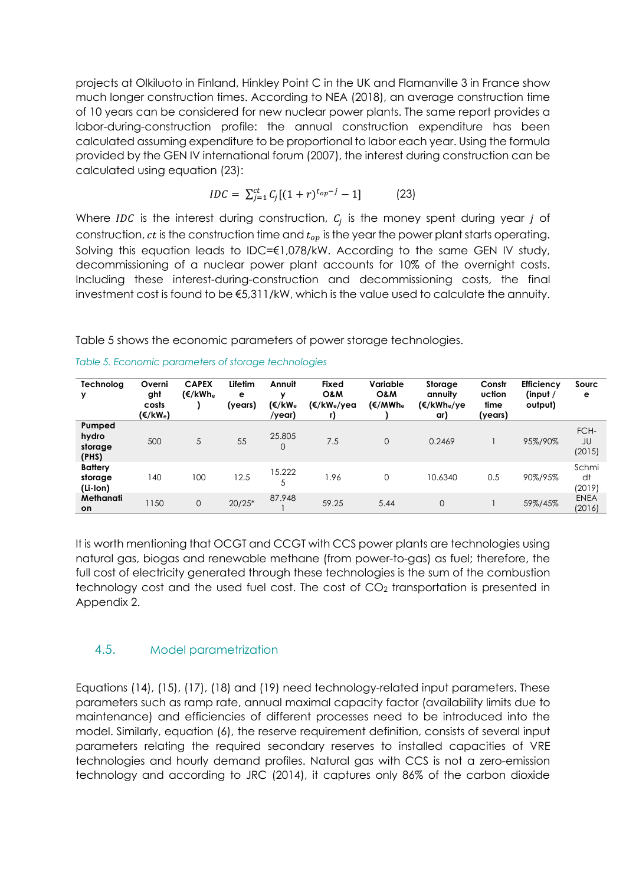projects at Olkiluoto in Finland, Hinkley Point C in the UK and Flamanville 3 in France show much longer construction times. According to NEA (2018), an average construction time of 10 years can be considered for new nuclear power plants. The same report provides a labor-during-construction profile: the annual construction expenditure has been calculated assuming expenditure to be proportional to labor each year. Using the formula provided by the GEN IV international forum (2007), the interest during construction can be calculated using equation (23):

$$
IDC = \sum_{j=1}^{ct} C_j [(1+r)^{t_{op}-j} - 1]
$$
 (23)

Where IDC is the interest during construction,  $C_i$  is the money spent during year j of construction,  $ct$  is the construction time and  $t_{op}$  is the year the power plant starts operating. Solving this equation leads to IDC=€1,078/kW. According to the same GEN IV study, decommissioning of a nuclear power plant accounts for 10% of the overnight costs. Including these interest-during-construction and decommissioning costs, the final investment cost is found to be  $\epsilon$ 5,311/kW, which is the value used to calculate the annuity.

Table 5 shows the economic parameters of power storage technologies.

| Technolog<br>v                        | Overni<br>ght<br>costs<br>(€/kW <sub>e</sub> ) | <b>CAPEX</b><br>(€/kWh <sub>e</sub> | Lifetim<br>е<br>(years) | Annuit<br>v<br>(€/kW <sub>e</sub><br>/year) | Fixed<br>O&M<br>(€/kW <sub>e</sub> /yea<br>r) | Variable<br>O&M<br>(€/MWh <sub>e</sub> | Storage<br>annuitv<br>(€/kWh <sub>e</sub> /ye<br>ar) | Constr<br>uction<br>time<br>(years) | <b>Efficiency</b><br>(input /<br>output) | Sourc<br>е            |
|---------------------------------------|------------------------------------------------|-------------------------------------|-------------------------|---------------------------------------------|-----------------------------------------------|----------------------------------------|------------------------------------------------------|-------------------------------------|------------------------------------------|-----------------------|
| Pumped<br>hydro<br>storage<br>(PHS)   | 500                                            | 5                                   | 55                      | 25.805<br>0                                 | 7.5                                           | $\overline{0}$                         | 0.2469                                               |                                     | 95%/90%                                  | FCH-<br>JU<br>(2015)  |
| <b>Battery</b><br>storage<br>(Li-lon) | 140                                            | 100                                 | 12.5                    | 15.222<br>5                                 | 1.96                                          | 0                                      | 10.6340                                              | 0.5                                 | 90%/95%                                  | Schmi<br>dt<br>(2019) |
| Methanati<br>on                       | 1150                                           | $\overline{0}$                      | $20/25*$                | 87.948                                      | 59.25                                         | 5.44                                   | $\overline{0}$                                       |                                     | 59%/45%                                  | <b>ENEA</b><br>(2016) |

*Table 5. Economic parameters of storage technologies*

It is worth mentioning that OCGT and CCGT with CCS power plants are technologies using natural gas, biogas and renewable methane (from power-to-gas) as fuel; therefore, the full cost of electricity generated through these technologies is the sum of the combustion technology cost and the used fuel cost. The cost of  $CO<sub>2</sub>$  transportation is presented in Appendix 2.

#### 4.5. Model parametrization

Equations (14), (15), (17), (18) and (19) need technology-related input parameters. These parameters such as ramp rate, annual maximal capacity factor (availability limits due to maintenance) and efficiencies of different processes need to be introduced into the model. Similarly, equation (6), the reserve requirement definition, consists of several input parameters relating the required secondary reserves to installed capacities of VRE technologies and hourly demand profiles. Natural gas with CCS is not a zero-emission technology and according to JRC (2014), it captures only 86% of the carbon dioxide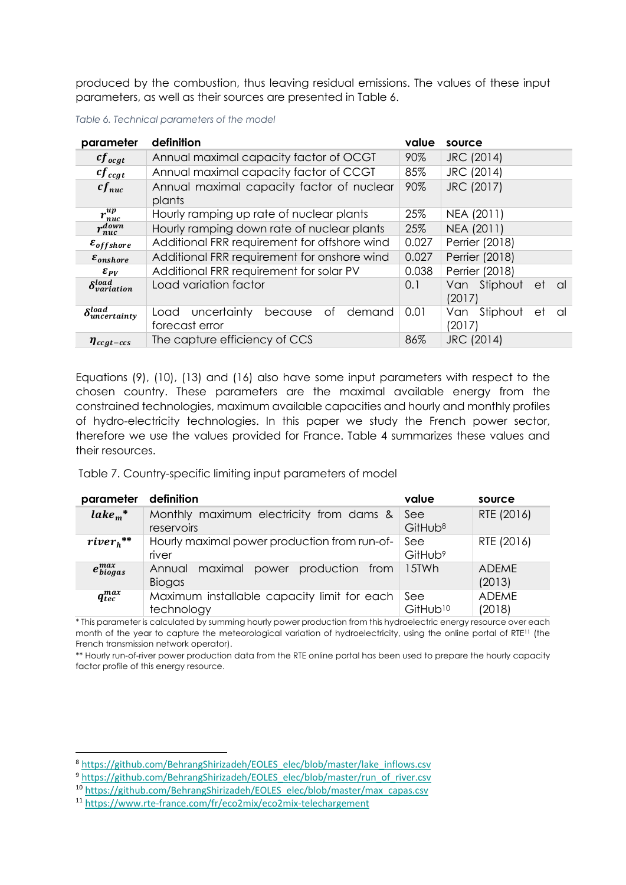produced by the combustion, thus leaving residual emissions. The values of these input parameters, as well as their sources are presented in Table 6.

| parameter                         | definition                                                       | value | source                                |  |  |
|-----------------------------------|------------------------------------------------------------------|-------|---------------------------------------|--|--|
| $cf_{ocgt}$                       | Annual maximal capacity factor of OCGT                           | 90%   | JRC (2014)                            |  |  |
| $cf_{ccgt}$                       | Annual maximal capacity factor of CCGT                           | 85%   | JRC (2014)                            |  |  |
| $cf_{nuc}$                        | Annual maximal capacity factor of nuclear<br>plants              | 90%   | JRC (2017)                            |  |  |
| $r_{nuc}^{up}$                    | Hourly ramping up rate of nuclear plants                         | 25%   | NEA (2011)                            |  |  |
| $r_{nuc}^{down}$                  | Hourly ramping down rate of nuclear plants                       | 25%   | NEA (2011)                            |  |  |
| $\varepsilon$ <sub>offshore</sub> | Additional FRR requirement for offshore wind                     | 0.027 | Perrier (2018)                        |  |  |
| $\varepsilon_{onshore}$           | Additional FRR requirement for onshore wind                      | 0.027 | Perrier (2018)                        |  |  |
| $\varepsilon_{PV}$                | Additional FRR requirement for solar PV                          | 0.038 | Perrier (2018)                        |  |  |
| $\delta_{variation}^{load}$       | Load variation factor                                            | 0.1   | Van Stiphout<br>et<br>- al<br>(2017)  |  |  |
| $\delta_{uncertainty}^{load}$     | uncertainty<br>Οf<br>demand<br>because<br>Load<br>forecast error | 0.01  | Stiphout<br>Van<br>et<br>al<br>(2017) |  |  |
| $\eta_{ccgt-ccs}$                 | The capture efficiency of CCS                                    | 86%   | JRC (2014)                            |  |  |

*Table 6. Technical parameters of the model*

Equations (9), (10), (13) and (16) also have some input parameters with respect to the chosen country. These parameters are the maximal available energy from the constrained technologies, maximum available capacities and hourly and monthly profiles of hydro-electricity technologies. In this paper we study the French power sector, therefore we use the values provided for France. Table 4 summarizes these values and their resources.

Table 7. Country-specific limiting input parameters of model

| parameter              | definition                                                  | value                       | source                 |
|------------------------|-------------------------------------------------------------|-----------------------------|------------------------|
| $\mathbf{label}_{m}^*$ | Monthly maximum electricity from dams &<br>reservoirs       | See<br>GitHub <sup>8</sup>  | RTE (2016)             |
| $river_h^{**}$         | Hourly maximal power production from run-of-<br>river       | See<br>GitHub <sup>9</sup>  | RTE (2016)             |
| $e_{biogas}^{max}$     | maximal<br>power production from<br>Annual<br><b>Biogas</b> | 15TWh                       | <b>ADEME</b><br>(2013) |
| $q_{tec}^{max}$        | Maximum installable capacity limit for each<br>technology   | See<br>GitHub <sup>10</sup> | <b>ADEME</b><br>(2018) |

\* This parameter is calculated by summing hourly power production from this hydroelectric energy resource over each month of the year to capture the meteorological variation of hydroelectricity, using the online portal of RTE<sup>11</sup> (the French transmission network operator).

\*\* Hourly run-of-river power production data from the RTE online portal has been used to prepare the hourly capacity factor profile of this energy resource.

<sup>8</sup> https://github.com/BehrangShirizadeh/EOLES\_elec/blob/master/lake\_inflows.csv

<sup>9</sup> https://github.com/BehrangShirizadeh/EOLES\_elec/blob/master/run\_of\_river.csv

<sup>10</sup> https://github.com/BehrangShirizadeh/EOLES\_elec/blob/master/max\_capas.csv

<sup>11</sup> https://www.rte-france.com/fr/eco2mix/eco2mix-telechargement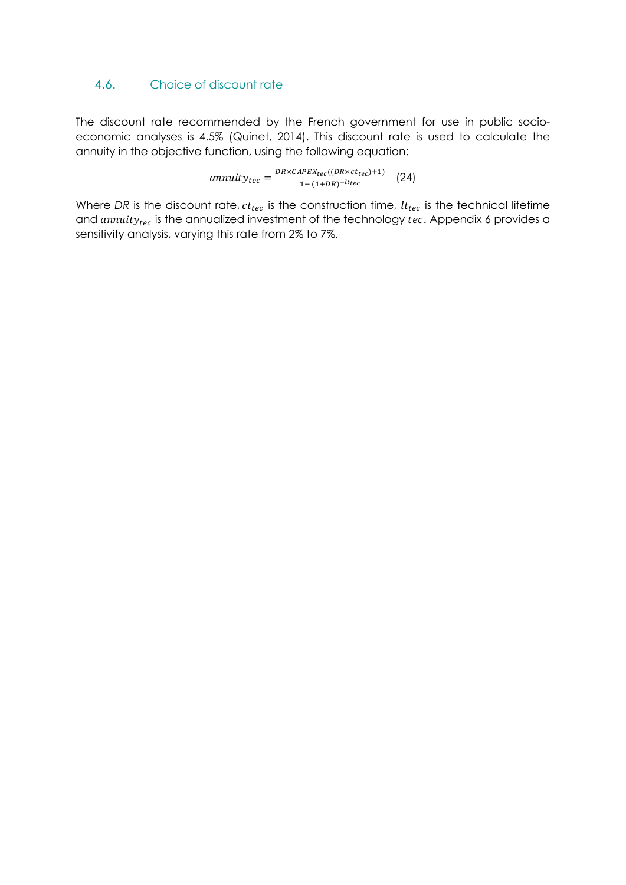#### 4.6. Choice of discount rate

The discount rate recommended by the French government for use in public socioeconomic analyses is 4.5% (Quinet, 2014). This discount rate is used to calculate the annuity in the objective function, using the following equation:

 $annuity_{tec} = \frac{DR \times CAPEX_{tec}((DR \times ct_{tec})+1)}{1-(1+DR)^{-lt_{tec}}}$  (24)

Where DR is the discount rate,  $ct_{tec}$  is the construction time,  $lt_{tec}$  is the technical lifetime and  $annuity_{tec}$  is the annualized investment of the technology  $tec$ . Appendix 6 provides a sensitivity analysis, varying this rate from 2% to 7%.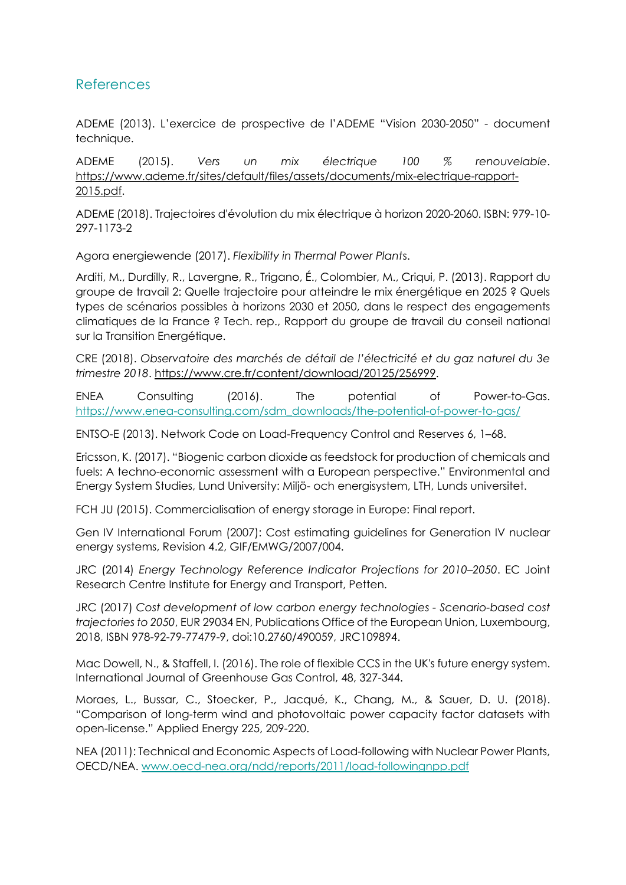#### References

ADEME (2013). L'exercice de prospective de l'ADEME "Vision 2030-2050" - document technique.

ADEME (2015). *Vers un mix électrique 100 % renouvelable*. https://www.ademe.fr/sites/default/files/assets/documents/mix-electrique-rapport-2015.pdf.

ADEME (2018). Trajectoires d'évolution du mix électrique à horizon 2020-2060. ISBN: 979-10- 297-1173-2

Agora energiewende (2017). *Flexibility in Thermal Power Plant*s.

Arditi, M., Durdilly, R., Lavergne, R., Trigano, É., Colombier, M., Criqui, P. (2013). Rapport du groupe de travail 2: Quelle trajectoire pour atteindre le mix énergétique en 2025 ? Quels types de scénarios possibles à horizons 2030 et 2050, dans le respect des engagements climatiques de la France ? Tech. rep., Rapport du groupe de travail du conseil national sur la Transition Energétique.

CRE (2018). *Observatoire des marchés de détail de l'électricité et du gaz naturel du 3e trimestre 2018*. https://www.cre.fr/content/download/20125/256999.

ENEA Consulting (2016). The potential of Power-to-Gas. https://www.enea-consulting.com/sdm\_downloads/the-potential-of-power-to-gas/

ENTSO-E (2013). Network Code on Load-Frequency Control and Reserves 6, 1–68.

Ericsson, K. (2017). "Biogenic carbon dioxide as feedstock for production of chemicals and fuels: A techno-economic assessment with a European perspective." Environmental and Energy System Studies, Lund University: Miljö- och energisystem, LTH, Lunds universitet.

FCH JU (2015). Commercialisation of energy storage in Europe: Final report.

Gen IV International Forum (2007): Cost estimating guidelines for Generation IV nuclear energy systems, Revision 4.2, GIF/EMWG/2007/004.

JRC (2014) *Energy Technology Reference Indicator Projections for 2010–2050*. EC Joint Research Centre Institute for Energy and Transport, Petten.

JRC (2017) *Cost development of low carbon energy technologies - Scenario-based cost trajectories to 2050*, EUR 29034 EN, Publications Office of the European Union, Luxembourg, 2018, ISBN 978-92-79-77479-9, doi:10.2760/490059, JRC109894.

Mac Dowell, N., & Staffell, I. (2016). The role of flexible CCS in the UK's future energy system. International Journal of Greenhouse Gas Control, 48, 327-344.

Moraes, L., Bussar, C., Stoecker, P., Jacqué, K., Chang, M., & Sauer, D. U. (2018). "Comparison of long-term wind and photovoltaic power capacity factor datasets with open-license." Applied Energy 225, 209-220.

NEA (2011): Technical and Economic Aspects of Load-following with Nuclear Power Plants, OECD/NEA. www.oecd-nea.org/ndd/reports/2011/load-followingnpp.pdf